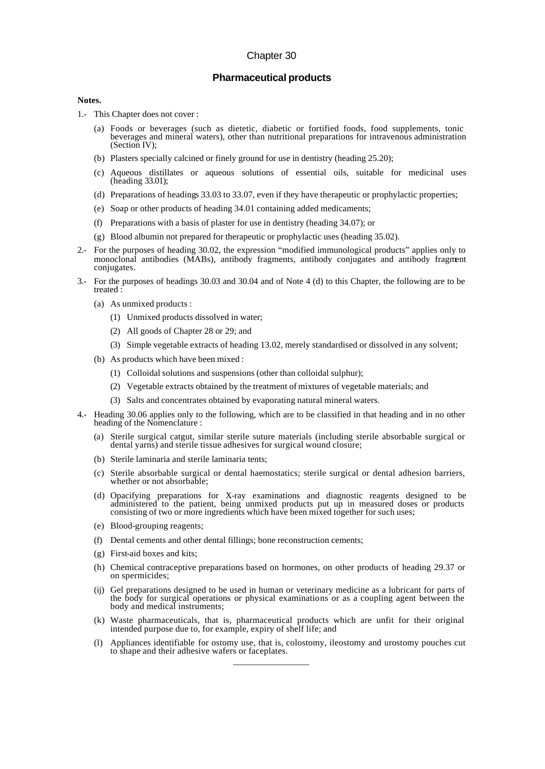## Chapter 30

## **Pharmaceutical products**

## **Notes.**

- 1.- This Chapter does not cover :
	- (a) Foods or beverages (such as dietetic, diabetic or fortified foods, food supplements, tonic beverages and mineral waters), other than nutritional preparations for intravenous administration (Section IV);
	- (b) Plasters specially calcined or finely ground for use in dentistry (heading 25.20);
	- (c) Aqueous distillates or aqueous solutions of essential oils, suitable for medicinal uses (heading 33.01);
	- (d) Preparations of headings 33.03 to 33.07, even if they have therapeutic or prophylactic properties;
	- (e) Soap or other products of heading 34.01 containing added medicaments;
	- (f) Preparations with a basis of plaster for use in dentistry (heading 34.07); or
	- (g) Blood albumin not prepared for therapeutic or prophylactic uses (heading 35.02).
- 2.- For the purposes of heading 30.02, the expression "modified immunological products" applies only to monoclonal antibodies (MABs), antibody fragments, antibody conjugates and antibody fragment conjugates.
- 3.- For the purposes of headings 30.03 and 30.04 and of Note 4 (d) to this Chapter, the following are to be treated :
	- (a) As unmixed products :
		- (1) Unmixed products dissolved in water;
		- (2) All goods of Chapter 28 or 29; and
		- (3) Simple vegetable extracts of heading 13.02, merely standardised or dissolved in any solvent;
	- (b) As products which have been mixed :
		- (1) Colloidal solutions and suspensions (other than colloidal sulphur);
		- (2) Vegetable extracts obtained by the treatment of mixtures of vegetable materials; and
		- (3) Salts and concentrates obtained by evaporating natural mineral waters.
- 4.- Heading 30.06 applies only to the following, which are to be classified in that heading and in no other heading of the Nomenclature :
	- (a) Sterile surgical catgut, similar sterile suture materials (including sterile absorbable surgical or dental yarns) and sterile tissue adhesives for surgical wound closure;
	- (b) Sterile laminaria and sterile laminaria tents;
	- (c) Sterile absorbable surgical or dental haemostatics; sterile surgical or dental adhesion barriers, whether or not absorbable;
	- (d) Opacifying preparations for X-ray examinations and diagnostic reagents designed to be administered to the patient, being unmixed products put up in measured doses or products consisting of two or more ingredients which have been mixed together for such uses;
	- (e) Blood-grouping reagents;
	- (f) Dental cements and other dental fillings; bone reconstruction cements;
	- (g) First-aid boxes and kits;
	- (h) Chemical contraceptive preparations based on hormones, on other products of heading 29.37 or on spermicides;
	- (ij) Gel preparations designed to be used in human or veterinary medicine as a lubricant for parts of the body for surgical operations or physical examinations or as a coupling agent between the body and medical instruments;
	- (k) Waste pharmaceuticals, that is, pharmaceutical products which are unfit for their original intended purpose due to, for example, expiry of shelf life; and
	- (l) Appliances identifiable for ostomy use, that is, colostomy, ileostomy and urostomy pouches cut to shape and their adhesive wafers or faceplates.

\_\_\_\_\_\_\_\_\_\_\_\_\_\_\_\_\_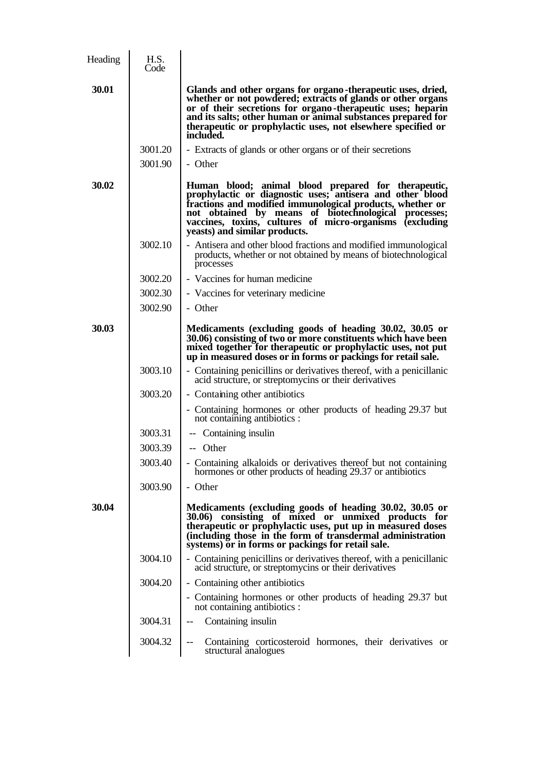| Heading | H.S.<br>Code |                                                                                                                                                                                                                                                                                                                                        |
|---------|--------------|----------------------------------------------------------------------------------------------------------------------------------------------------------------------------------------------------------------------------------------------------------------------------------------------------------------------------------------|
| 30.01   |              | Glands and other organs for organo-therapeutic uses, dried,<br>whether or not powdered; extracts of glands or other organs<br>or of their secretions for organo-therapeutic uses; heparin<br>and its salts; other human or animal substances prepared for<br>therapeutic or prophylactic uses, not elsewhere specified or<br>included. |
|         | 3001.20      | - Extracts of glands or other organs or of their secretions                                                                                                                                                                                                                                                                            |
|         | 3001.90      | - Other                                                                                                                                                                                                                                                                                                                                |
| 30.02   |              | Human blood; animal blood prepared for therapeutic,<br>prophylactic or diagnostic uses; antisera and other blood<br>fractions and modified immunological products, whether or<br>not obtained by means of biotechnological processes;<br>vaccines, toxins, cultures of micro-organisms (excluding<br>yeasts) and similar products.     |
|         | 3002.10      | - Antisera and other blood fractions and modified immunological<br>products, whether or not obtained by means of biotechnological<br>processes                                                                                                                                                                                         |
|         | 3002.20      | - Vaccines for human medicine                                                                                                                                                                                                                                                                                                          |
|         | 3002.30      | - Vaccines for veterinary medicine                                                                                                                                                                                                                                                                                                     |
|         | 3002.90      | - Other                                                                                                                                                                                                                                                                                                                                |
| 30.03   |              | Medicaments (excluding goods of heading 30.02, 30.05 or<br>30.06) consisting of two or more constituents which have been<br>mixed together for therapeutic or prophylactic uses, not put<br>up in measured doses or in forms or packings for retail sale.                                                                              |
|         | 3003.10      | - Containing penicillins or derivatives thereof, with a penicillanic<br>acid structure, or streptomycins or their derivatives                                                                                                                                                                                                          |
|         | 3003.20      | - Containing other antibiotics                                                                                                                                                                                                                                                                                                         |
|         |              | - Containing hormones or other products of heading 29.37 but<br>not containing antibiotics :                                                                                                                                                                                                                                           |
|         | 3003.31      | -- Containing insulin                                                                                                                                                                                                                                                                                                                  |
|         | 3003.39      | -- Other                                                                                                                                                                                                                                                                                                                               |
|         | 3003.40      | - Containing alkaloids or derivatives thereof but not containing<br>hormones or other products of heading 29.37 or antibiotics                                                                                                                                                                                                         |
|         | 3003.90      | - Other                                                                                                                                                                                                                                                                                                                                |
| 30.04   |              | Medicaments (excluding goods of heading 30.02, 30.05 or<br>consisting of mixed or unmixed products for<br><b>30.06</b> )<br>therapeutic or prophylactic uses, put up in measured doses<br>(including those in the form of transdermal administration<br>systems) or in forms or packings for retail sale.                              |
|         | 3004.10      | - Containing penicillins or derivatives thereof, with a penicillanic<br>acid structure, or streptomycins or their derivatives                                                                                                                                                                                                          |
|         | 3004.20      | - Containing other antibiotics                                                                                                                                                                                                                                                                                                         |
|         |              | - Containing hormones or other products of heading 29.37 but<br>not containing antibiotics :                                                                                                                                                                                                                                           |
|         | 3004.31      | Containing insulin<br>$-$                                                                                                                                                                                                                                                                                                              |
|         | 3004.32      | Containing corticosteroid hormones, their derivatives or<br>$\qquad \qquad -$<br>structural analogues                                                                                                                                                                                                                                  |